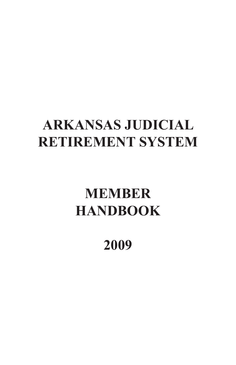# **ARKANSAS JUDICIAL RETIREMENT SYSTEM**

# **MEMBER HANDBOOK**

# **2009**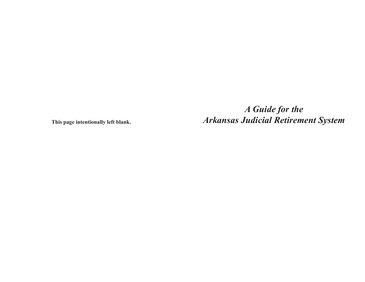*A Guide for the* **This page intentionally left blank.** *Arkansas Judicial Retirement System*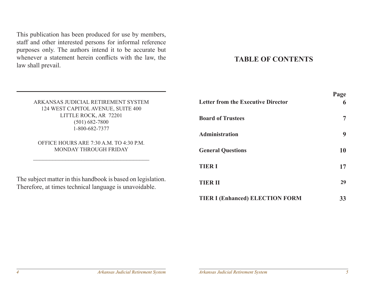This publication has been produced for use by members, staff and other interested persons for informal reference purposes only. The authors intend it to be accurate but whenever a statement herein conflicts with the law, the law shall prevail.

# **TABLE OF CONTENTS**

|                                                                                                                        |                                           | - "a" |
|------------------------------------------------------------------------------------------------------------------------|-------------------------------------------|-------|
| ARKANSAS JUDICIAL RETIREMENT SYSTEM<br>124 WEST CAPITOL AVENUE, SUITE 400                                              | <b>Letter from the Executive Director</b> | 6     |
| LITTLE ROCK, AR 72201<br>$(501) 682 - 7800$                                                                            | <b>Board of Trustees</b>                  | 7     |
| 1-800-682-7377                                                                                                         | Administration                            | 9     |
| OFFICE HOURS ARE 7:30 A.M. TO 4:30 P.M.<br>MONDAY THROUGH FRIDAY                                                       | <b>General Questions</b>                  | 10    |
|                                                                                                                        | <b>TIER I</b>                             | 17    |
| The subject matter in this handbook is based on legislation.<br>Therefore, at times technical language is unavoidable. | <b>TIER II</b>                            | 29    |
|                                                                                                                        | <b>TIER I (Enhanced) ELECTION FORM</b>    | 33    |

**Page**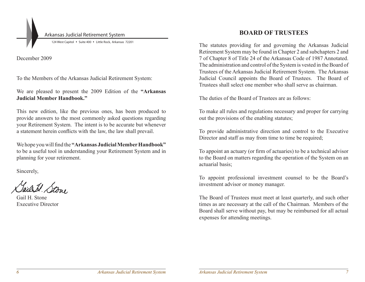Arkansas Judicial Retirement System

124 West Capitol • Suite 400 • Little Rock, Arkansas 72201

December 2009

To the Members of the Arkansas Judicial Retirement System:

We are pleased to present the 2009 Edition of the **"Arkansas Judicial Member Handbook."**

This new edition, like the previous ones, has been produced to provide answers to the most commonly asked questions regarding your Retirement System. The intent is to be accurate but whenever a statement herein conflicts with the law, the law shall prevail.

We hope you will find the **"Arkansas Judicial Member Handbook"** to be a useful tool in understanding your Retirement System and in planning for your retirement.

Sincerely,

Tails Stone

Gail H. Stone Executive Director

# **BOARD OF TRUSTEES**

The statutes providing for and governing the Arkansas Judicial Retirement System may be found in Chapter 2 and subchapters 2 and 7 of Chapter 8 of Title 24 of the Arkansas Code of 1987 Annotated. The administration and control of the System is vested in the Board of Trustees of the Arkansas Judicial Retirement System. The Arkansas Judicial Council appoints the Board of Trustees. The Board of Trustees shall select one member who shall serve as chairman.

The duties of the Board of Trustees are as follows:

To make all rules and regulations necessary and proper for carrying out the provisions of the enabling statutes;

To provide administrative direction and control to the Executive Director and staff as may from time to time be required;

To appoint an actuary (or firm of actuaries) to be a technical advisor to the Board on matters regarding the operation of the System on an actuarial basis;

To appoint professional investment counsel to be the Board's investment advisor or money manager.

The Board of Trustees must meet at least quarterly, and such other times as are necessary at the call of the Chairman. Members of the Board shall serve without pay, but may be reimbursed for all actual expenses for attending meetings.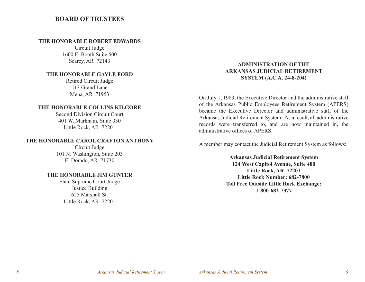# **BOARD OF TRUSTEES**

#### **THE HONORABLE ROBERT EDWARDS**

Circuit Judge 1600 E. Booth Suite 500 Searcy, AR 72143

#### **THE HONORABLE GAYLE FORD**

Retired Circuit Judge 113 Grand Lane Mena, AR 71953

#### **THE HONORABLE COLLINS KILGORE**

Second Division Circuit Court 401 W. Markham, Suite 330 Little Rock, AR 72201

#### **THE HONORABLE CAROL CRAFTON ANTHONY**

Circuit Judge 101 N. Washington, Suite 203 El Dorado, AR 71730

### **THE HONORABLE JIM GUNTER**

State Supreme Court Judge Justice Building 625 Marshall St. Little Rock, AR 72201

# **ADMINISTRATION OF THE ARKANSAS JUDICIAL RETIREMENT SYSTEM (A.C.A. 24-8-204)**

On July 1, 1983, the Executive Director and the administrative staff of the Arkansas Public Employees Retirement System (APERS) became the Executive Director and administrative staff of the Arkansas Judicial Retirement System. As a result, all administrative records were transferred to, and are now maintained in, the administrative offices of APERS.

A member may contact the Judicial Retirement System as follows:

**Arkansas Judicial Retirement System 124 West Capitol Avenue, Suite 400 Little Rock, AR 72201 Little Rock Number: 682-7800 Toll Free Outside Little Rock Exchange: 1-800-682-7377**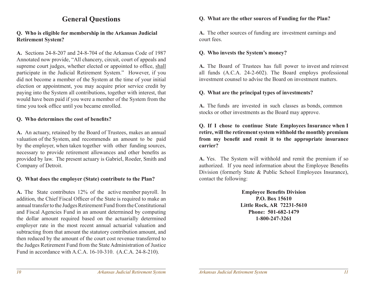# **General Questions**

# **Q. Who is eligible for membership in the Arkansas Judicial Retirement System?**

**A.** Sections 24-8-207 and 24-8-704 of the Arkansas Code of 1987 Annotated now provide, "All chancery, circuit, court of appeals and supreme court judges, whether elected or appointed to office, shall participate in the Judicial Retirement System." However, if you did not become a member of the System at the time of your initial election or appointment, you may acquire prior service credit by paying into the System all contributions, together with interest, that would have been paid if you were a member of the System from the time you took office until you became enrolled.

#### **Q. Who determines the cost of benefits?**

**A.** An actuary, retained by the Board of Trustees, makes an annual valuation of the System, and recommends an amount to be paid by the employer, when taken together with other funding sources, necessary to provide retirement allowances and other benefits as provided by law. The present actuary is Gabriel, Roeder, Smith and Company of Detroit.

#### **Q. What does the employer (State) contribute to the Plan?**

**A.** The State contributes 12% of the active member payroll. In addition, the Chief Fiscal Officer of the State is required to make an annual transfer to the Judges Retirement Fund from the Constitutional and Fiscal Agencies Fund in an amount determined by computing the dollar amount required based on the actuarially determined employer rate in the most recent annual actuarial valuation and subtracting from that amount the statutory contribution amount, and then reduced by the amount of the court cost revenue transferred to the Judges Retirement Fund from the State Administration of Justice Fund in accordance with A.C.A. 16-10-310. (A.C.A. 24-8-210).

# **Q. What are the other sources of Funding for the Plan?**

**A.** The other sources of funding are investment earnings and court fees.

# **Q. Who invests the System's money?**

**A.** The Board of Trustees has full power to invest and reinvest all funds (A.C.A. 24-2-602). The Board employs professional investment counsel to advise the Board on investment matters.

# **Q. What are the principal types of investments?**

**A.** The funds are invested in such classes as bonds, common stocks or other investments as the Board may approve.

**Q. If I chose to continue State Employees Insurance when I retire, will the retirement system withhold the monthly premium from my benefit and remit it to the appropriate insurance carrier?**

**A.** Yes. The System will withhold and remit the premium if so authorized. If you need information about the Employee Benefits Division (formerly State & Public School Employees Insurance), contact the following:

> **Employee Benefits Division P.O. Box 15610 Little Rock, AR 72231-5610 Phone: 501-682-1479 1-800-247-3261**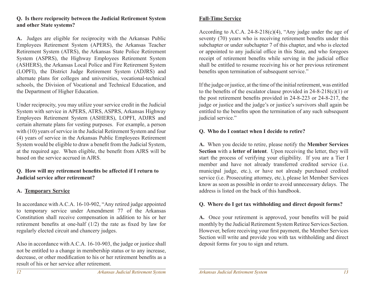# **Q. Is there reciprocity between the Judicial Retirement System and other State systems?**

**A.** Judges are eligible for reciprocity with the Arkansas Public Employees Retirement System (APERS), the Arkansas Teacher Retirement System (ATRS), the Arkansas State Police Retirement System (ASPRS), the Highway Employees Retirement System (ASHERS), the Arkansas Local Police and Fire Retirement System (LOPFI), the District Judge Retirement System (ADJRS) and alternate plans for colleges and universities, vocational-technical schools, the Division of Vocational and Technical Education, and the Department of Higher Education.

Under reciprocity, you may utilize your service credit in the Judicial System with service in APERS, ATRS, ASPRS, Arkansas Highway Employees Retirement System (ASHERS), LOPFI, ADJRS and certain alternate plans for vesting purposes. For example, a person with (10) years of service in the Judicial Retirement System and four (4) years of service in the Arkansas Public Employees Retirement System would be eligible to draw a benefit from the Judicial System, at the required age. When eligible, the benefit from AJRS will be based on the service accrued in AJRS.

# **Q. How will my retirement benefits be affected if I return to Judicial service after retirement?**

# **A. Temporary Service**

In accordance with A.C.A. 16-10-902, "Any retired judge appointed to temporary service under Amendment 77 of the Arkansas Constitution shall receive compensation in addition to his or her retirement benefits at one-half (1/2) the rate as fixed by law for regularly elected circuit and chancery judges.

Also in accordance with A.C.A. 16-10-903, the judge or justice shall not be entitled to a change in membership status or to any increase, decrease, or other modification to his or her retirement benefits as a result of his or her service after retirement.

# **Full-Time Service**

According to A.C.A.  $24-8-218(c)(4)$ , "Any judge under the age of seventy (70) years who is receiving retirement benefits under this subchapter or under subchapter 7 of this chapter, and who is elected or appointed to any judicial office in this State, and who foregoes receipt of retirement benefits while serving in the judicial office shall be entitled to resume receiving his or her previous retirement benefits upon termination of subsequent service."

If the judge or justice, at the time of the initial retirement, was entitled to the benefits of the escalator clause provided in  $24-8-218(c)(1)$  or the post retirement benefits provided in 24-8-223 or 24-8-217, the judge or justice and the judge's or justice's survivors shall again be entitled to the benefits upon the termination of any such subsequent judicial service."

# **Q. Who do I contact when I decide to retire?**

**A.** When you decide to retire, please notify the **Member Services Section** with a **letter of intent**. Upon receiving the letter, they will start the process of verifying your eligibility. If you are a Tier I member and have not already transferred credited service (i.e. municipal judge, etc.), or have not already purchased credited service (i.e. Prosecuting attorney, etc.), please let Member Services know as soon as possible in order to avoid unnecessary delays. The address is listed on the back of this handbook.

# **Q. Where do I get tax withholding and direct deposit forms?**

**A.** Once your retirement is approved, your benefits will be paid monthly by the Judicial Retirement System Retiree Services Section. However, before receiving your first payment, the Member Services Section will write and provide you with tax withholding and direct deposit forms for you to sign and return.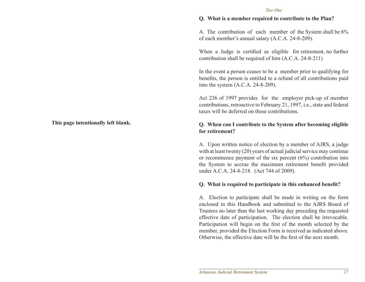#### **Q. What is a member required to contribute to the Plan?**

A. The contribution of each member of the System shall be 6% of each member's annual salary (A.C.A. 24-8-209).

When a Judge is certified as eligible for retirement, no further contribution shall be required of him (A.C.A. 24-8-211)

In the event a person ceases to be a member prior to qualifying for benefits, the person is entitled to a refund of all contributions paid into the system (A.C.A. 24-8-209).

Act 236 of 1997 provides for the employer pick-up of member contributions, retroactive to February 21, 1997, i.e., state and federal taxes will be deferred on these contributions.

#### **Q. When can I contribute to the System after becoming eligible for retirement?**

A. Upon written notice of election by a member of AJRS, a judge with at least twenty (20) years of actual judicial service may continue or recommence payment of the six percent  $(6%)$  contribution into the System to accrue the maximum retirement benefit provided under A.C.A. 24-8-218. (Act 744 of 2009).

#### **Q. What is required to participate in this enhanced benefit?**

A. Election to participate shall be made in writing on the form enclosed in this Handbook and submitted to the AJRS Board of Trustees no later than the last working day preceding the requested effective date of participation. The election shall be irrevocable. Participation will begin on the first of the month selected by the member, provided the Election Form is received as indicated above. Otherwise, the effective date will be the first of the next month.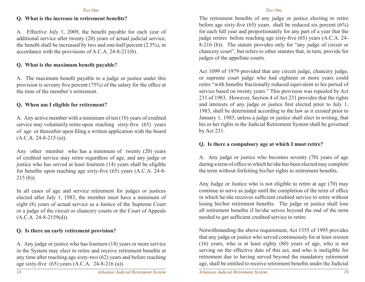## **Q. What is the increase in retirement benefits?**

A. Effective July 1, 2009, the benefit payable for each year of additional service after twenty (20) years of actual judicial service, the benefit shall be increased by two and one-half percent (2.5%), in accordance with the provisions of A.C.A. 24-8-211(b).

# **Q. What is the maximum benefit payable?**

A. The maximum benefit payable to a judge or justice under this provision is seventy five percent (75%) of the salary for the office at the time of the member's retirement.

# **Q. When am I eligible for retirement?**

A. Any active member with a minimum of ten (10) years of credited service may voluntarily retire upon reaching sixty-five (65) years of age or thereafter upon filing a written application with the board (A.C.A. 24-8-215 (a)).

Any other member who has a minimum of twenty (20) years of credited service may retire regardless of age, and any judge or justice who has served at least fourteen (14) years shall be eligible for benefits upon reaching age sixty-five (65) years (A.C.A. 24-8- 215 (b)).

In all cases of age and service retirement for judges or justices elected after July 1, 1983, the member must have a minimum of eight (8) years of actual service as a Justice of the Supreme Court or a judge of the circuit or chancery courts or the Court of Appeals  $(A.C.A. 24-8-2159(d)).$ 

# **Q. Is there an early retirement provision?**

A. Any judge or justice who has fourteen (14) years or more service in the System may elect to retire and receive retirement benefits at any time after reaching age sixty-two (62) years and before reaching age sixty-five (65) years (A.C.A. 24-8-216 (a)).

#### *Tier One*

The retirement benefits of any judge or justice electing to retire before age sixty-five  $(65)$  years shall be reduced six percent  $(6%)$ for each full year and proportionately for any part of a year that the judge retires before reaching age sixty-five (65) years (A.C.A. 24- 8-216 (b)). The statute provides only for "any judge of circuit or chancery court", but refers to other statutes that, in turn, provide for judges of the appellate courts.

Act 1099 of 1979 provided that any circuit judge, chancery judge, or supreme court judge who had eighteen or more years could retire "with benefits fractionally reduced equivalent to his period of service based on twenty years." This provision was repealed by Act 231 of 1983. However, Section 4 of Act 231 provides that the rights and interests of any judge or justice first elected prior to July 1, 1983, shall be determined according to the law as it existed prior to January 1, 1983, unless a judge or justice shall elect in writing, that his or her rights in the Judicial Retirement System shall be governed by Act 231.

#### **Q. Is there a compulsory age at which I must retire?**

A. Any judge or justice who becomes seventy (70) years of age during a term of office to which he/she has been elected may complete the term without forfeiting his/her rights to retirement benefits.

Any Judge or Justice who is not eligible to retire at age (70) may continue to serve as judge until the completion of the term of office in which he/she receives sufficient credited service to retire without losing his/her retirement benefits. The judge or justice shall lose all retirement benefits if he/she serves beyond the end of the term needed to get sufficient credited service to retire.

Notwithstanding the above requirement, Act 1355 of 1995 provides that any judge or justice who served continuously for at least sixteen (16) years, who is at least eighty (80) years of age, who is not serving on the effective date of this act, and who is ineligible for retirement due to having served beyond the mandatory retirement age, shall be entitled to receive retirement benefits under the Judicial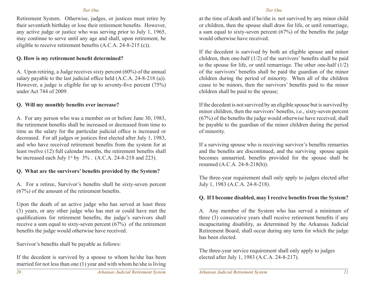Retirement System. Otherwise, judges, or justices must retire by their seventieth birthday or lose their retirement benefits. However, any active judge or justice who was serving prior to July 1, 1965, may continue to serve until any age and shall, upon retirement, be eligible to receive retirement benefits (A.C.A. 24-8-215 (c)).

# **Q. How is my retirement benefit determined?**

A. Upon retiring, a Judge receives sixty percent (60%) of the annual salary payable to the last judicial office held (A.C.A. 24-8-218 (a)). However, a judge is eligible for up to seventy-five percent (75%) under Act 744 of 2009.

# **Q. Will my monthly benefits ever increase?**

A. For any person who was a member on or before June 30, 1983, the retirement benefits shall be increased or decreased from time to time as the salary for the particular judicial office is increased or decreased. For all judges or justices first elected after July 1, 1983, and who have received retirement benefits from the system for at least twelve (12) full calendar months, the retirement benefits shall be increased each July  $1^{st}$  by  $3\%$ . (A.C.A. 24-8-218 and 223).

# **Q. What are the survivors' benefits provided by the System?**

A. For a retiree, Survivor's benefits shall be sixty-seven percent (67%) of the amount of the retirement benefits.

Upon the death of an active judge who has served at least three (3) years, or any other judge who has met or could have met the qualifications for retirement benefits, the judge's survivors shall receive a sum equal to sixty-seven percent (67%) of the retirement benefits the judge would otherwise have received.

Survivor's benefits shall be payable as follows:

If the decedent is survived by a spouse to whom he/she has been married for not less than one (1) year and with whom he/she is living

#### *Tier One*

at the time of death and if he/she is not survived by any minor child or children, then the spouse shall draw for life, or until remarriage, a sum equal to sixty-seven percent (67%) of the benefits the judge would otherwise have received.

If the decedent is survived by both an eligible spouse and minor children, then one-half (1/2) of the survivors' benefits shall be paid to the spouse for life, or until remarriage. The other one-half (1/2) of the survivors' benefits shall be paid the guardian of the minor children during the period of minority. When all of the children cease to be minors, then the survivors' benefits paid to the minor children shall be paid to the spouse;

If the decedent is not survived by an eligible spouse but is survived by minor children, then the survivors' benefits, i.e., sixty-seven percent (67%) of the benefits the judge would otherwise have received, shall be payable to the guardian of the minor children during the period of minority.

If a surviving spouse who is receiving survivor's benefits remarries and the benefits are discontinued, and the surviving spouse again becomes unmarried, benefits provided for the spouse shall be resumed (A.C.A. 24-8-218(b)).

The three-year requirement shall only apply to judges elected after July 1, 1983 (A.C.A. 24-8-218).

# **Q. If I become disabled, may I receive benefits from the System?**

A. Any member of the System who has served a minimum of three (3) consecutive years shall receive retirement benefits if any incapacitating disability, as determined by the Arkansas Judicial Retirement Board, shall occur during any term for which the judge has been elected.

The three-year service requirement shall only apply to judges elected after July 1, 1983 (A.C.A. 24-8-217).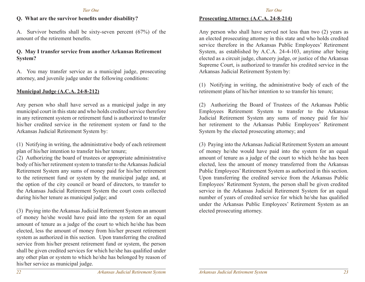# **Q. What are the survivor benefits under disability?**

A. Survivor benefits shall be sixty-seven percent (67%) of the amount of the retirement benefits.

### **Q. May I transfer service from another Arkansas Retirement System?**

A. You may transfer service as a municipal judge, prosecuting attorney, and juvenile judge under the following conditions:

#### **Municipal Judge (A.C.A. 24-8-212)**

Any person who shall have served as a municipal judge in any municipal court in this state and who holds credited service therefore in any retirement system or retirement fund is authorized to transfer his/her credited service in the retirement system or fund to the Arkansas Judicial Retirement System by:

(1) Notifying in writing, the administrative body of each retirement plan of his/her intention to transfer his/her tenure;

(2) Authorizing the board of trustees or appropriate administrative body of his/her retirement system to transfer to the Arkansas Judicial Retirement System any sums of money paid for his/her retirement to the retirement fund or system by the municipal judge and, at the option of the city council or board of directors, to transfer to the Arkansas Judicial Retirement System the court costs collected during his/her tenure as municipal judge; and

(3) Paying into the Arkansas Judicial Retirement System an amount of money he/she would have paid into the system for an equal amount of tenure as a judge of the court to which he/she has been elected, less the amount of money from his/her present retirement system as authorized in this section. Upon transferring the credited service from his/her present retirement fund or system, the person shall be given credited services for which he/she has qualified under any other plan or system to which he/she has belonged by reason of his/her service as municipal judge.

# **Prosecuting Attorney (A.C.A. 24-8-214)**

Any person who shall have served not less than two (2) years as an elected prosecuting attorney in this state and who holds credited service therefore in the Arkansas Public Employees' Retirement System, as established by A.C.A. 24-4-103, anytime after being elected as a circuit judge, chancery judge, or justice of the Arkansas Supreme Court, is authorized to transfer his credited service in the Arkansas Judicial Retirement System by:

(1) Notifying in writing, the administrative body of each of the retirement plans of his/her intention to so transfer his tenure;

(2) Authorizing the Board of Trustees of the Arkansas Public Employees Retirement System to transfer to the Arkansas Judicial Retirement System any sums of money paid for his/ her retirement to the Arkansas Public Employees' Retirement System by the elected prosecuting attorney; and

(3) Paying into the Arkansas Judicial Retirement System an amount of money he/she would have paid into the system for an equal amount of tenure as a judge of the court to which he/she has been elected, less the amount of money transferred from the Arkansas Public Employees' Retirement System as authorized in this section. Upon transferring the credited service from the Arkansas Public Employees' Retirement System, the person shall be given credited service in the Arkansas Judicial Retirement System for an equal number of years of credited service for which he/she has qualified under the Arkansas Public Employees' Retirement System as an elected prosecuting attorney.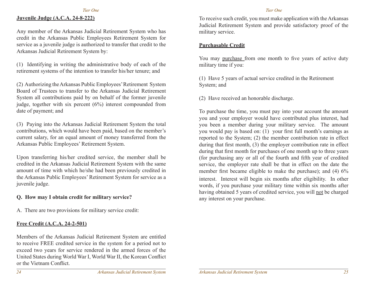## **Juvenile Judge (A.C.A. 24-8-222)**

Any member of the Arkansas Judicial Retirement System who has credit in the Arkansas Public Employees Retirement System for service as a juvenile judge is authorized to transfer that credit to the Arkansas Judicial Retirement System by:

(1) Identifying in writing the administrative body of each of the retirement systems of the intention to transfer his/her tenure; and

(2) Authorizing the Arkansas Public Employees' Retirement System Board of Trustees to transfer to the Arkansas Judicial Retirement System all contributions paid by on behalf of the former juvenile judge, together with six percent (6%) interest compounded from date of payment; and

(3) Paying into the Arkansas Judicial Retirement System the total contributions, which would have been paid, based on the member's current salary, for an equal amount of money transferred from the Arkansas Public Employees' Retirement System.

Upon transferring his/her credited service, the member shall be credited in the Arkansas Judicial Retirement System with the same amount of time with which he/she had been previously credited in the Arkansas Public Employees' Retirement System for service as a juvenile judge.

# **Q. How may I obtain credit for military service?**

A. There are two provisions for military service credit:

# **Free Credit (A.C.A. 24-2-501)**

Members of the Arkansas Judicial Retirement System are entitled to receive FREE credited service in the system for a period not to exceed two years for service rendered in the armed forces of the United States during World War I, World War II, the Korean Conflict or the Vietnam Conflict.

#### *Tier One*

To receive such credit, you must make application with the Arkansas Judicial Retirement System and provide satisfactory proof of the military service.

# **Purchasable Credit**

You may purchase from one month to five years of active duty military time if you:

(1) Have 5 years of actual service credited in the Retirement System; and

(2) Have received an honorable discharge.

To purchase the time, you must pay into your account the amount you and your employer would have contributed plus interest, had you been a member during your military service. The amount you would pay is based on: (1) your first full month's earnings as reported to the System; (2) the member contribution rate in effect during that first month, (3) the employer contribution rate in effect during that first month for purchases of one month up to three years (for purchasing any or all of the fourth and fifth year of credited service, the employer rate shall be that in effect on the date the member first became eligible to make the purchase); and (4)  $6\%$ interest. Interest will begin six months after eligibility. In other words, if you purchase your military time within six months after having obtained 5 years of credited service, you will not be charged any interest on your purchase.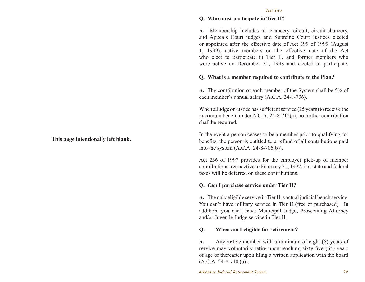#### *Tier Two*

#### **Q. Who must participate in Tier II?**

**A.** Membership includes all chancery, circuit, circuit-chancery, and Appeals Court judges and Supreme Court Justices elected or appointed after the effective date of Act 399 of 1999 (August 1, 1999), active members on the effective date of the Act who elect to participate in Tier II, and former members who were active on December 31, 1998 and elected to participate.

#### **Q. What is a member required to contribute to the Plan?**

**A.** The contribution of each member of the System shall be 5% of each member's annual salary (A.C.A. 24-8-706).

When a Judge or Justice has sufficient service (25 years) to receive the maximum benefit under A.C.A. 24-8-712(a), no further contribution shall be required.

In the event a person ceases to be a member prior to qualifying for benefits, the person is entitled to a refund of all contributions paid into the system (A.C.A. 24-8-706(b)).

Act 236 of 1997 provides for the employer pick-up of member contributions, retroactive to February 21, 1997, i.e., state and federal taxes will be deferred on these contributions.

#### **Q. Can I purchase service under Tier II?**

**A.** The only eligible service in Tier II is actual judicial bench service. You can't have military service in Tier II (free or purchased). In addition, you can't have Municipal Judge, Prosecuting Attorney and/or Juvenile Judge service in Tier II.

#### **Q. When am I eligible for retirement?**

**A.** Any **active** member with a minimum of eight (8) years of service may voluntarily retire upon reaching sixty-five (65) years of age or thereafter upon filing a written application with the board (A.C.A. 24-8-710 (a)).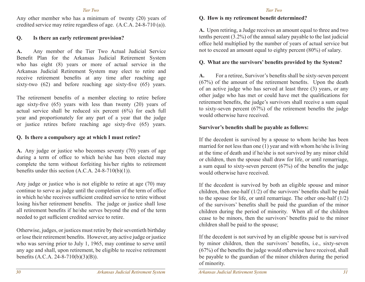#### *Tier Two*

Any other member who has a minimum of twenty (20) years of credited service may retire regardless of age. (A.C.A. 24-8-710 (a)).

# **Q. Is there an early retirement provision?**

**A.** Any member of the Tier Two Actual Judicial Service Benefit Plan for the Arkansas Judicial Retirement System who has eight (8) years or more of actual service in the Arkansas Judicial Retirement System may elect to retire and receive retirement benefits at any time after reaching age sixty-two (62) and before reaching age sixty-five (65) years.

The retirement benefits of a member electing to retire before age sixty-five (65) years with less than twenty (20) years of actual service shall be reduced six percent (6%) for each full year and proportionately for any part of a year that the judge or justice retires before reaching age sixty-five (65) years.

# **Q. Is there a compulsory age at which I must retire?**

**A.** Any judge or justice who becomes seventy (70) years of age during a term of office to which he/she has been elected may complete the term without forfeiting his/her rights to retirement benefits under this section  $(A.C.A. 24-8-710(b)(1)).$ 

Any judge or justice who is not eligible to retire at age (70) may continue to serve as judge until the completion of the term of office in which he/she receives sufficient credited service to retire without losing his/her retirement benefits. The judge or justice shall lose all retirement benefits if he/she serves beyond the end of the term needed to get sufficient credited service to retire.

Otherwise, judges, or justices must retire by their seventieth birthday or lose their retirement benefits. However, any active judge or justice who was serving prior to July 1, 1965, may continue to serve until any age and shall, upon retirement, be eligible to receive retirement benefits (A.C.A. 24-8-710(b)(3)(B)).

#### *Tier Two*

#### **Q. How is my retirement benefit determined?**

**A.** Upon retiring, a Judge receives an amount equal to three and two tenths percent (3.2%) of the annual salary payable to the last judicial office held multiplied by the number of years of actual service but not to exceed an amount equal to eighty percent (80%) of salary.

# **Q. What are the survivors' benefits provided by the System?**

**A.** For a retiree, Survivor's benefits shall be sixty-seven percent (67%) of the amount of the retirement benefits. Upon the death of an active judge who has served at least three (3) years, or any other judge who has met or could have met the qualifications for retirement benefits, the judge's survivors shall receive a sum equal to sixty-seven percent (67%) of the retirement benefits the judge would otherwise have received.

# **Survivor's benefits shall be payable as follows:**

If the decedent is survived by a spouse to whom he/she has been married for not less than one (1) year and with whom he/she is living at the time of death and if he/she is not survived by any minor child or children, then the spouse shall draw for life, or until remarriage, a sum equal to sixty-seven percent (67%) of the benefits the judge would otherwise have received.

If the decedent is survived by both an eligible spouse and minor children, then one-half (1/2) of the survivors' benefits shall be paid to the spouse for life, or until remarriage. The other one-half (1/2) of the survivors' benefits shall be paid the guardian of the minor children during the period of minority. When all of the children cease to be minors, then the survivors' benefits paid to the minor children shall be paid to the spouse;

If the decedent is not survived by an eligible spouse but is survived by minor children, then the survivors' benefits, i.e., sixty-seven (67%) of the benefits the judge would otherwise have received, shall be payable to the guardian of the minor children during the period of minority.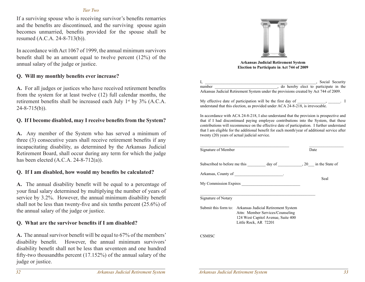#### *Tier Two*

If a surviving spouse who is receiving survivor's benefits remarries and the benefits are discontinued, and the surviving spouse again becomes unmarried, benefits provided for the spouse shall be resumed (A.C.A. 24-8-713(b)).

In accordance with Act 1067 of 1999, the annual minimum survivors benefit shall be an amount equal to twelve percent (12%) of the annual salary of the judge or justice.

#### **Q. Will my monthly benefits ever increase?**

**A.** For all judges or justices who have received retirement benefits from the system for at least twelve (12) full calendar months, the retirement benefits shall be increased each July 1<sup>st</sup> by 3% (A.C.A.  $24 - 8 - 715(b)$ .

#### **Q. If I become disabled, may I receive benefits from the System?**

**A.** Any member of the System who has served a minimum of three (3) consecutive years shall receive retirement benefits if any incapacitating disability, as determined by the Arkansas Judicial Retirement Board, shall occur during any term for which the judge has been elected  $(A.C.A. 24-8-712(a))$ .

#### **Q. If I am disabled, how would my benefits be calculated?**

**A.** The annual disability benefit will be equal to a percentage of your final salary determined by multiplying the number of years of service by 3.2%. However, the annual minimum disability benefit shall not be less than twenty-five and six tenths percent (25.6%) of the annual salary of the judge or justice.

#### **Q. What are the survivor benefits if I am disabled?**

**A.** The annual survivor benefit will be equal to 67% of the members' disability benefit. However, the annual minimum survivors' disability benefit shall not be less than seventeen and one hundred fifty-two thousandths percent (17.152%) of the annual salary of the judge or justice.



**Arkansas Judicial Retirement System Election to Participate in Act 744 of 2009**

I, Social Security and  $\overline{S}$ number , do hereby elect to participate in the Arkansas Judicial Retirement System under the provisions created by Act 744 of 2009.

My effective date of participation will be the first day of understand that this election, as provided under ACA 24-8-218, is irrevocable.

In accordance with ACA 24-8-218, I also understand that the provision is prospective and that if I had discontinued paying employee contributions into the System, that these contributions will recommence on the effective date of participation. I further understand that I am eligible for the additional benefit for each month/year of additional service after twenty (20) years of actual judicial service.

| Signature of Member |                                                                                                                                                             | Date |      |
|---------------------|-------------------------------------------------------------------------------------------------------------------------------------------------------------|------|------|
|                     | Subscribed to before me this _____________ day of _____________________, 20 _____ in the State of                                                           |      |      |
|                     | Arkansas, County of _________________________.                                                                                                              |      |      |
|                     |                                                                                                                                                             |      | Seal |
|                     |                                                                                                                                                             |      |      |
| Signature of Notary |                                                                                                                                                             |      |      |
|                     | Submit this form to: Arkansas Judicial Retirement System<br>Attn: Member Services/Counseling<br>124 West Capitol Avenue, Suite 400<br>Little Rock, AR 72201 |      |      |
| CSMISC              |                                                                                                                                                             |      |      |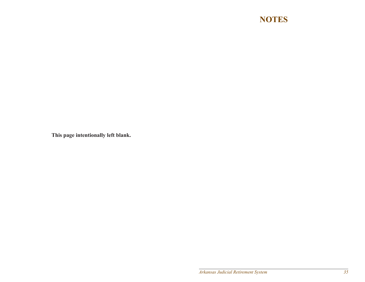# **NOTES**